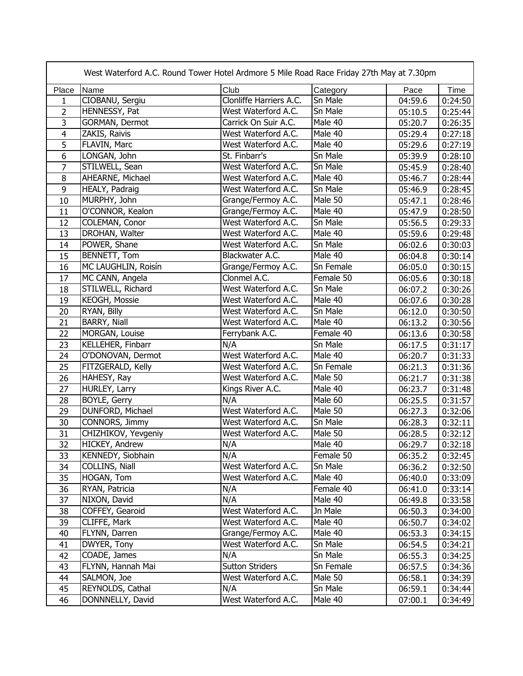| West Waterford A.C. Round Tower Hotel Ardmore 5 Mile Road Race Friday 27th May at 7.30pm |                     |                         |           |         |         |  |  |
|------------------------------------------------------------------------------------------|---------------------|-------------------------|-----------|---------|---------|--|--|
| Place                                                                                    | Name                | Club                    | Category  | Pace    | Time    |  |  |
| 1                                                                                        | CIOBANU, Sergiu     | Clonliffe Harriers A.C. | Sn Male   | 04:59.6 | 0:24:50 |  |  |
| $\overline{2}$                                                                           | HENNESSY, Pat       | West Waterford A.C.     | Sn Male   | 05:10.5 | 0:25:44 |  |  |
| 3                                                                                        | GORMAN, Dermot      | Carrick On Suir A.C.    | Male 40   | 05:20.7 | 0:26:35 |  |  |
| 4                                                                                        | ZAKIS, Raivis       | West Waterford A.C.     | Male 40   | 05:29.4 | 0:27:18 |  |  |
| $\overline{5}$                                                                           | FLAVIN, Marc        | West Waterford A.C.     | Male 40   | 05:29.6 | 0:27:19 |  |  |
| $\overline{6}$                                                                           | LONGAN, John        | St. Finbarr's           | Sn Male   | 05:39.9 | 0:28:10 |  |  |
| 7                                                                                        | STILWELL, Sean      | West Waterford A.C.     | Sn Male   | 05:45.9 | 0:28:40 |  |  |
| 8                                                                                        | AHEARNE, Michael    | West Waterford A.C.     | Male 40   | 05:46.7 | 0:28:44 |  |  |
| 9                                                                                        | HEALY, Padraig      | West Waterford A.C.     | Sn Male   | 05:46.9 | 0:28:45 |  |  |
| 10                                                                                       | MURPHY, John        | Grange/Fermoy A.C.      | Male 50   | 05:47.1 | 0:28:46 |  |  |
| 11                                                                                       | O'CONNOR, Kealon    | Grange/Fermoy A.C.      | Male 40   | 05:47.9 | 0:28:50 |  |  |
| 12                                                                                       | COLEMAN, Conor      | West Waterford A.C.     | Sn Male   | 05:56.5 | 0:29:33 |  |  |
| 13                                                                                       | DROHAN, Walter      | West Waterford A.C.     | Male 40   | 05:59.6 | 0:29:48 |  |  |
| 14                                                                                       | POWER, Shane        | West Waterford A.C.     | Sn Male   | 06:02.6 | 0:30:03 |  |  |
| 15                                                                                       | BENNETT, Tom        | Blackwater A.C.         | Male 40   | 06:04.8 | 0:30:14 |  |  |
| 16                                                                                       | MC LAUGHLIN, Roisín | Grange/Fermoy A.C.      | Sn Female | 06:05.0 | 0:30:15 |  |  |
| 17                                                                                       | MC CANN, Angela     | Clonmel A.C.            | Female 50 | 06:05.6 | 0:30:18 |  |  |
| 18                                                                                       | STILWELL, Richard   | West Waterford A.C.     | Sn Male   | 06:07.2 | 0:30:26 |  |  |
| 19                                                                                       | KEOGH, Mossie       | West Waterford A.C.     | Male 40   | 06:07.6 | 0:30:28 |  |  |
| 20                                                                                       | RYAN, Billy         | West Waterford A.C.     | Sn Male   | 06:12.0 | 0:30:50 |  |  |
| 21                                                                                       | BARRY, Niall        | West Waterford A.C.     | Male 40   | 06:13.2 | 0:30:56 |  |  |
| 22                                                                                       | MORGAN, Louise      | Ferrybank A.C.          | Female 40 | 06:13.6 | 0:30:58 |  |  |
| 23                                                                                       | KELLEHER, Finbarr   | N/A                     | Sn Male   | 06:17.5 | 0:31:17 |  |  |
| 24                                                                                       | O'DONOVAN, Dermot   | West Waterford A.C.     | Male 40   | 06:20.7 | 0:31:33 |  |  |
| 25                                                                                       | FITZGERALD, Kelly   | West Waterford A.C.     | Sn Female | 06:21.3 | 0:31:36 |  |  |
| 26                                                                                       | HAHESY, Ray         | West Waterford A.C.     | Male 50   | 06:21.7 | 0:31:38 |  |  |
| 27                                                                                       | HURLEY, Larry       | Kings River A.C.        | Male 40   | 06:23.7 | 0:31:48 |  |  |
| 28                                                                                       | BOYLE, Gerry        | N/A                     | Male 60   | 06:25.5 | 0:31:57 |  |  |
| 29                                                                                       | DUNFORD, Michael    | West Waterford A.C.     | Male 50   | 06:27.3 | 0:32:06 |  |  |
| 30                                                                                       | CONNORS, Jimmy      | West Waterford A.C.     | Sn Male   | 06:28.3 | 0:32:11 |  |  |
| 31                                                                                       | CHIZHIKOV, Yevgeniy | West Waterford A.C.     | Male 50   | 06:28.5 | 0:32:12 |  |  |
| $\overline{32}$                                                                          | HICKEY, Andrew      | N/A                     | Male 40   | 06:29.7 | 0:32:18 |  |  |
| 33                                                                                       | KENNEDY, Siobhain   | N/A                     | Female 50 | 06:35.2 | 0:32:45 |  |  |
| 34                                                                                       | COLLINS, Niall      | West Waterford A.C.     | Sn Male   | 06:36.2 | 0:32:50 |  |  |
| 35                                                                                       | HOGAN, Tom          | West Waterford A.C.     | Male 40   | 06:40.0 | 0:33:09 |  |  |
| 36                                                                                       | RYAN, Patricia      | N/A                     | Female 40 | 06:41.0 | 0:33:14 |  |  |
| 37                                                                                       | NIXON, David        | N/A                     | Male 40   | 06:49.8 | 0:33:58 |  |  |
| 38                                                                                       | COFFEY, Gearoid     | West Waterford A.C.     | Jn Male   | 06:50.3 | 0:34:00 |  |  |
| 39                                                                                       | CLIFFE, Mark        | West Waterford A.C.     | Male 40   | 06:50.7 | 0:34:02 |  |  |
| 40                                                                                       | FLYNN, Darren       | Grange/Fermoy A.C.      | Male 40   | 06:53.3 | 0:34:15 |  |  |
| 41                                                                                       | DWYER, Tony         | West Waterford A.C.     | Sn Male   | 06:54.5 | 0:34:21 |  |  |
| 42                                                                                       | COADE, James        | N/A                     | Sn Male   | 06:55.3 | 0:34:25 |  |  |
| 43                                                                                       | FLYNN, Hannah Mai   | <b>Sutton Striders</b>  | Sn Female | 06:57.5 | 0:34:36 |  |  |
| 44                                                                                       | SALMON, Joe         | West Waterford A.C.     | Male 50   | 06:58.1 | 0:34:39 |  |  |
| 45                                                                                       | REYNOLDS, Cathal    | N/A                     | Sn Male   | 06:59.1 | 0:34:44 |  |  |
| 46                                                                                       | DONNNELLY, David    | West Waterford A.C.     | Male 40   | 07:00.1 | 0:34:49 |  |  |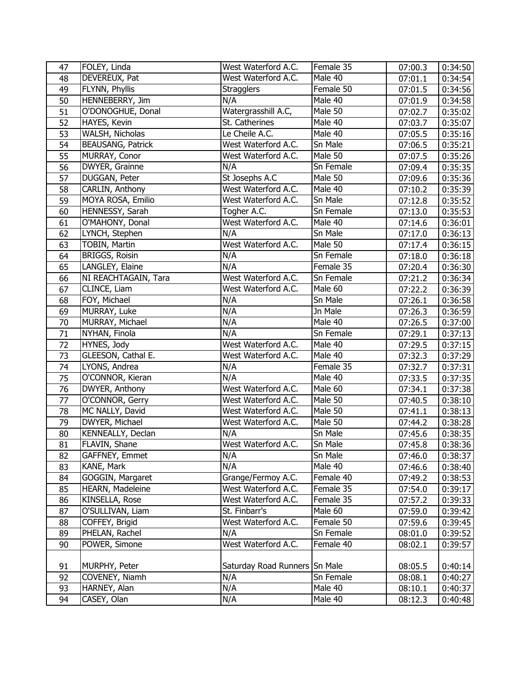| 47 | FOLEY, Linda             | West Waterford A.C.           | Female 35 | 07:00.3 | 0:34:50 |
|----|--------------------------|-------------------------------|-----------|---------|---------|
| 48 | DEVEREUX, Pat            | West Waterford A.C.           | Male 40   | 07:01.1 | 0:34:54 |
| 49 | FLYNN, Phyllis           | <b>Stragglers</b>             | Female 50 | 07:01.5 | 0:34:56 |
| 50 | HENNEBERRY, Jim          | N/A                           | Male 40   | 07:01.9 | 0:34:58 |
| 51 | O'DONOGHUE, Donal        | Watergrasshill A.C,           | Male 50   | 07:02.7 | 0:35:02 |
| 52 | HAYES, Kevin             | St. Catherines                | Male 40   | 07:03.7 | 0:35:07 |
| 53 | WALSH, Nicholas          | Le Cheile A.C.                | Male 40   | 07:05.5 | 0:35:16 |
| 54 | <b>BEAUSANG, Patrick</b> | West Waterford A.C.           | Sn Male   | 07:06.5 | 0:35:21 |
| 55 | MURRAY, Conor            | West Waterford A.C.           | Male 50   | 07:07.5 | 0:35:26 |
| 56 | DWYER, Grainne           | N/A                           | Sn Female | 07:09.4 | 0:35:35 |
| 57 | DUGGAN, Peter            | St Josephs A.C                | Male 50   | 07:09.6 | 0:35:36 |
| 58 | CARLIN, Anthony          | West Waterford A.C.           | Male 40   | 07:10.2 | 0:35:39 |
| 59 | MOYA ROSA, Emilio        | West Waterford A.C.           | Sn Male   | 07:12.8 | 0:35:52 |
| 60 | HENNESSY, Sarah          | Togher A.C.                   | Sn Female | 07:13.0 | 0:35:53 |
| 61 | O'MAHONY, Donal          | West Waterford A.C.           | Male 40   | 07:14.6 | 0:36:01 |
| 62 | LYNCH, Stephen           | N/A                           | Sn Male   | 07:17.0 | 0:36:13 |
| 63 | TOBIN, Martin            | West Waterford A.C.           | Male 50   | 07:17.4 | 0:36:15 |
| 64 | BRIGGS, Roisin           | N/A                           | Sn Female | 07:18.0 | 0:36:18 |
| 65 | LANGLEY, Elaine          | N/A                           | Female 35 | 07:20.4 | 0:36:30 |
| 66 | NI REACHTAGAIN, Tara     | West Waterford A.C.           | Sn Female | 07:21.2 | 0:36:34 |
| 67 | CLINCE, Liam             | West Waterford A.C.           | Male 60   | 07:22.2 | 0:36:39 |
| 68 | FOY, Michael             | N/A                           | Sn Male   | 07:26.1 | 0:36:58 |
| 69 | MURRAY, Luke             | N/A                           | Jn Male   | 07:26.3 | 0:36:59 |
| 70 | MURRAY, Michael          | N/A                           | Male 40   | 07:26.5 | 0:37:00 |
| 71 | NYHAN, Finola            | N/A                           | Sn Female | 07:29.1 | 0:37:13 |
| 72 | HYNES, Jody              | West Waterford A.C.           | Male 40   | 07:29.5 | 0:37:15 |
| 73 | GLEESON, Cathal E.       | West Waterford A.C.           | Male 40   | 07:32.3 | 0:37:29 |
| 74 | LYONS, Andrea            | N/A                           | Female 35 | 07:32.7 | 0:37:31 |
| 75 | O'CONNOR, Kieran         | N/A                           | Male 40   | 07:33.5 | 0:37:35 |
| 76 | DWYER, Anthony           | West Waterford A.C.           | Male 60   | 07:34.1 | 0:37:38 |
| 77 | O'CONNOR, Gerry          | West Waterford A.C.           | Male 50   | 07:40.5 | 0:38:10 |
| 78 | MC NALLY, David          | West Waterford A.C.           | Male 50   | 07:41.1 | 0:38:13 |
| 79 | DWYER, Michael           | West Waterford A.C.           | Male 50   | 07:44.2 | 0:38:28 |
| 80 | KENNEALLY, Declan        | N/A                           | Sn Male   | 07:45.6 | 0:38:35 |
| 81 | FLAVIN, Shane            | West Waterford A.C.           | Sn Male   | 07:45.8 | 0:38:36 |
| 82 | GAFFNEY, Emmet           | N/A                           | Sn Male   | 07:46.0 | 0:38:37 |
| 83 | KANE, Mark               | N/A                           | Male 40   | 07:46.6 | 0:38:40 |
| 84 | GOGGIN, Margaret         | Grange/Fermoy A.C.            | Female 40 | 07:49.2 | 0:38:53 |
| 85 | HEARN, Madeleine         | West Waterford A.C.           | Female 35 | 07:54.0 | 0:39:17 |
| 86 | KINSELLA, Rose           | West Waterford A.C.           | Female 35 | 07:57.2 | 0:39:33 |
| 87 | O'SULLIVAN, Liam         | St. Finbarr's                 | Male 60   | 07:59.0 | 0:39:42 |
| 88 | COFFEY, Brigid           | West Waterford A.C.           | Female 50 | 07:59.6 | 0:39:45 |
| 89 | PHELAN, Rachel           | N/A                           | Sn Female | 08:01.0 | 0:39:52 |
| 90 | POWER, Simone            | West Waterford A.C.           | Female 40 | 08:02.1 | 0:39:57 |
|    |                          |                               |           |         |         |
| 91 | MURPHY, Peter            | Saturday Road Runners Sn Male |           | 08:05.5 | 0:40:14 |
| 92 | COVENEY, Niamh           | N/A                           | Sn Female | 08:08.1 | 0:40:27 |
| 93 | HARNEY, Alan             | N/A                           | Male 40   | 08:10.1 | 0:40:37 |
| 94 | CASEY, Olan              | N/A                           | Male 40   | 08:12.3 | 0:40:48 |